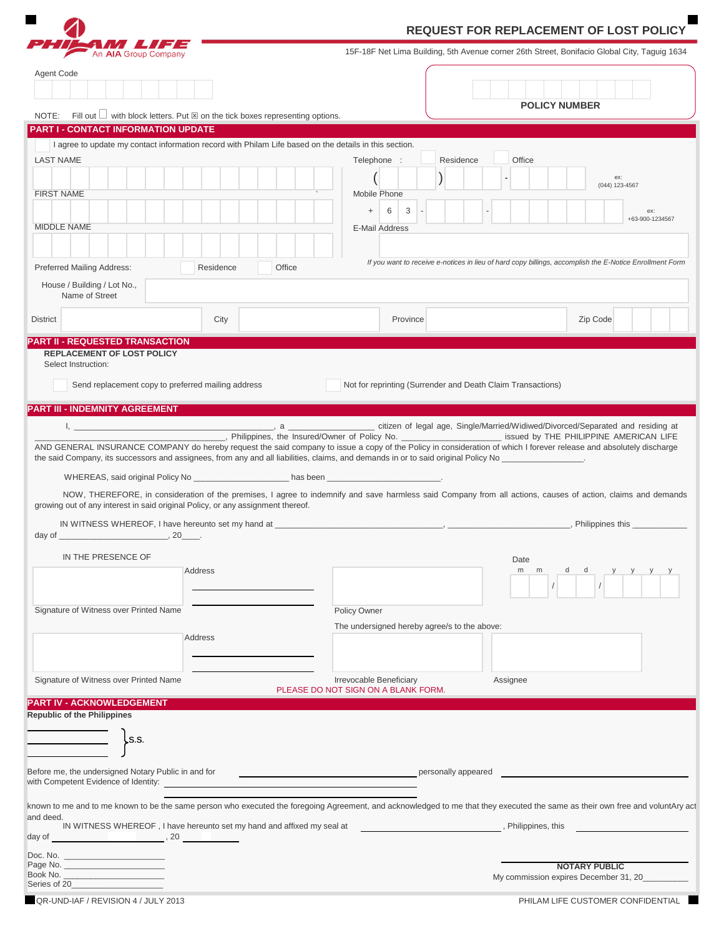|                                                                                                                                                                                                                                                                                                           |           | <b>REQUEST FOR REPLACEMENT OF LOST POLICY</b>                                                |                                                                                                                                                                                                                                |                                                                                                                                                                                                       |                              |  |
|-----------------------------------------------------------------------------------------------------------------------------------------------------------------------------------------------------------------------------------------------------------------------------------------------------------|-----------|----------------------------------------------------------------------------------------------|--------------------------------------------------------------------------------------------------------------------------------------------------------------------------------------------------------------------------------|-------------------------------------------------------------------------------------------------------------------------------------------------------------------------------------------------------|------------------------------|--|
| 17 S S 7 3 3<br>An AIA Group Company                                                                                                                                                                                                                                                                      |           | 15F-18F Net Lima Building, 5th Avenue corner 26th Street, Bonifacio Global City, Taguig 1634 |                                                                                                                                                                                                                                |                                                                                                                                                                                                       |                              |  |
| Agent Code                                                                                                                                                                                                                                                                                                |           |                                                                                              |                                                                                                                                                                                                                                |                                                                                                                                                                                                       |                              |  |
|                                                                                                                                                                                                                                                                                                           |           |                                                                                              |                                                                                                                                                                                                                                |                                                                                                                                                                                                       |                              |  |
| NOTE: Fill out $\Box$ with block letters. Put $\boxtimes$ on the tick boxes representing options.                                                                                                                                                                                                         |           |                                                                                              |                                                                                                                                                                                                                                | <b>POLICY NUMBER</b>                                                                                                                                                                                  |                              |  |
| <b>PART I - CONTACT INFORMATION UPDATE</b>                                                                                                                                                                                                                                                                |           |                                                                                              |                                                                                                                                                                                                                                |                                                                                                                                                                                                       |                              |  |
| I agree to update my contact information record with Philam Life based on the details in this section.                                                                                                                                                                                                    |           |                                                                                              |                                                                                                                                                                                                                                |                                                                                                                                                                                                       |                              |  |
| <b>LAST NAME</b><br><b>FIRST NAME</b>                                                                                                                                                                                                                                                                     |           |                                                                                              | Telephone :<br>Mobile Phone<br>6<br>3<br>$+$                                                                                                                                                                                   | Residence<br>Office                                                                                                                                                                                   | ex:<br>(044) 123-4567<br>ex: |  |
| <b>MIDDLE NAME</b>                                                                                                                                                                                                                                                                                        |           |                                                                                              | E-Mail Address                                                                                                                                                                                                                 |                                                                                                                                                                                                       | +63-900-1234567              |  |
| Preferred Mailing Address:                                                                                                                                                                                                                                                                                | Residence | Office                                                                                       |                                                                                                                                                                                                                                | If you want to receive e-notices in lieu of hard copy billings, accomplish the E-Notice Enrollment Form                                                                                               |                              |  |
| House / Building / Lot No.,<br>Name of Street                                                                                                                                                                                                                                                             |           |                                                                                              |                                                                                                                                                                                                                                |                                                                                                                                                                                                       |                              |  |
| <b>District</b>                                                                                                                                                                                                                                                                                           | City      |                                                                                              | Province                                                                                                                                                                                                                       | Zip Code                                                                                                                                                                                              |                              |  |
| <b>PART II - REQUESTED TRANSACTION</b><br><b>REPLACEMENT OF LOST POLICY</b><br>Select Instruction:<br>Send replacement copy to preferred mailing address                                                                                                                                                  |           |                                                                                              |                                                                                                                                                                                                                                | Not for reprinting (Surrender and Death Claim Transactions)                                                                                                                                           |                              |  |
| <b>PART III - INDEMNITY AGREEMENT</b>                                                                                                                                                                                                                                                                     |           |                                                                                              |                                                                                                                                                                                                                                |                                                                                                                                                                                                       |                              |  |
|                                                                                                                                                                                                                                                                                                           |           |                                                                                              |                                                                                                                                                                                                                                |                                                                                                                                                                                                       |                              |  |
|                                                                                                                                                                                                                                                                                                           |           |                                                                                              |                                                                                                                                                                                                                                | AND GENERAL INSURANCE COMPANY do hereby request the said company to issue a copy of the Policy in consideration of which I forever release and absolutely discharge                                   |                              |  |
|                                                                                                                                                                                                                                                                                                           |           |                                                                                              | WHEREAS, said original Policy No entrance and the basic has been entrance and the control of the basic of the control of the control of the control of the control of the control of the control of the control of the control |                                                                                                                                                                                                       |                              |  |
| growing out of any interest in said original Policy, or any assignment thereof.                                                                                                                                                                                                                           |           |                                                                                              |                                                                                                                                                                                                                                | NOW, THEREFORE, in consideration of the premises, I agree to indemnify and save harmless said Company from all actions, causes of action, claims and demands                                          |                              |  |
|                                                                                                                                                                                                                                                                                                           |           |                                                                                              |                                                                                                                                                                                                                                |                                                                                                                                                                                                       |                              |  |
| IN THE PRESENCE OF                                                                                                                                                                                                                                                                                        |           |                                                                                              |                                                                                                                                                                                                                                |                                                                                                                                                                                                       |                              |  |
| Address                                                                                                                                                                                                                                                                                                   |           |                                                                                              |                                                                                                                                                                                                                                | Date<br>m m                                                                                                                                                                                           |                              |  |
| Signature of Witness over Printed Name                                                                                                                                                                                                                                                                    |           |                                                                                              | Policy Owner                                                                                                                                                                                                                   |                                                                                                                                                                                                       |                              |  |
|                                                                                                                                                                                                                                                                                                           |           |                                                                                              | The undersigned hereby agree/s to the above:                                                                                                                                                                                   |                                                                                                                                                                                                       |                              |  |
|                                                                                                                                                                                                                                                                                                           | Address   |                                                                                              |                                                                                                                                                                                                                                |                                                                                                                                                                                                       |                              |  |
| Signature of Witness over Printed Name                                                                                                                                                                                                                                                                    |           |                                                                                              | Irrevocable Beneficiary<br>PLEASE DO NOT SIGN ON A BLANK FORM.                                                                                                                                                                 | Assignee                                                                                                                                                                                              |                              |  |
| <b>PART IV - ACKNOWLEDGEMENT</b>                                                                                                                                                                                                                                                                          |           |                                                                                              |                                                                                                                                                                                                                                |                                                                                                                                                                                                       |                              |  |
| <b>Republic of the Philippines</b>                                                                                                                                                                                                                                                                        |           |                                                                                              |                                                                                                                                                                                                                                |                                                                                                                                                                                                       |                              |  |
| $\overline{\phantom{a}}$ $\overline{\phantom{a}}$ $\overline{\phantom{a}}$ $\overline{\phantom{a}}$                                                                                                                                                                                                       |           |                                                                                              |                                                                                                                                                                                                                                |                                                                                                                                                                                                       |                              |  |
| Before me, the undersigned Notary Public in and for<br>with Competent Evidence of Identity:                                                                                                                                                                                                               |           |                                                                                              |                                                                                                                                                                                                                                | personally appeared                                                                                                                                                                                   |                              |  |
| and deed.<br>IN WITNESS WHEREOF, I have hereunto set my hand and affixed my seal at                                                                                                                                                                                                                       |           |                                                                                              |                                                                                                                                                                                                                                | known to me and to me known to be the same person who executed the foregoing Agreement, and acknowledged to me that they executed the same as their own free and voluntAry act<br>, Philippines, this |                              |  |
| $day of$ , 20                                                                                                                                                                                                                                                                                             |           |                                                                                              |                                                                                                                                                                                                                                |                                                                                                                                                                                                       |                              |  |
| Page No. __________________________<br>Book No. ________________________<br>Series of 20 and the state of 20 and 20 and 20 and 20 and 20 and 20 and 20 and 20 and 20 and 20 and 20 and 20 and 20 and 20 and 20 and 20 and 20 and 20 and 20 and 20 and 20 and 20 and 20 and 20 and 20 and 20 and 20 and 20 |           |                                                                                              |                                                                                                                                                                                                                                | <b>NOTARY PUBLIC</b><br>My commission expires December 31, 20________                                                                                                                                 |                              |  |

L.